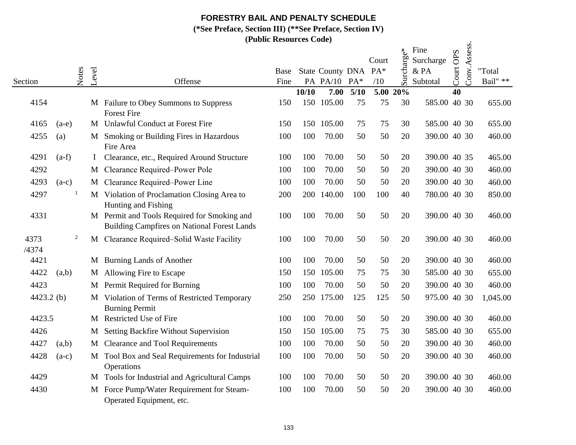## **FORESTRY BAIL AND PENALTY SCHEDULE**

**(\*See Preface, Section III) (\*\*See Preface, Section IV)**

**(Public Resources Code)**

|               |         |                |          |                                                                                                   | (F UDIIC RESOULCES COUE) |       |                                      |        |              |                                  |                                       |           |              |                    |
|---------------|---------|----------------|----------|---------------------------------------------------------------------------------------------------|--------------------------|-------|--------------------------------------|--------|--------------|----------------------------------|---------------------------------------|-----------|--------------|--------------------|
| Section       |         | Notes          | Level    | Offense                                                                                           | Base<br>Fine             |       | State County DNA PA*<br>PA PA/10 PA* |        | Court<br>/10 | $\vec{e}^*$<br>rcharge<br>$\sin$ | Fine<br>Surcharge<br>& PA<br>Subtotal | Court OPS | Conv.Assess. | "Total<br>Bail" ** |
|               |         |                |          |                                                                                                   |                          | 10/10 | 7.00                                 | $5/10$ | 5.00 20%     |                                  |                                       | 40        |              |                    |
| 4154          |         |                |          | M Failure to Obey Summons to Suppress<br><b>Forest Fire</b>                                       | 150                      | 150   | 105.00                               | 75     | 75           | 30                               | 585.00 40 30                          |           |              | 655.00             |
| 4165          | $(a-e)$ |                |          | M Unlawful Conduct at Forest Fire                                                                 | 150                      |       | 150 105.00                           | 75     | 75           | 30                               | 585.00 40 30                          |           |              | 655.00             |
| 4255          | (a)     |                |          | M Smoking or Building Fires in Hazardous<br>Fire Area                                             | 100                      | 100   | 70.00                                | 50     | 50           | 20                               | 390.00 40 30                          |           |              | 460.00             |
| 4291          | $(a-f)$ |                | $\bf{I}$ | Clearance, etc., Required Around Structure                                                        | 100                      | 100   | 70.00                                | 50     | 50           | 20                               | 390.00 40 35                          |           |              | 465.00             |
| 4292          |         |                |          | M Clearance Required-Power Pole                                                                   | 100                      | 100   | 70.00                                | 50     | 50           | 20                               | 390.00 40 30                          |           |              | 460.00             |
| 4293          | $(a-c)$ |                |          | M Clearance Required-Power Line                                                                   | 100                      | 100   | 70.00                                | 50     | 50           | 20                               | 390.00 40 30                          |           |              | 460.00             |
| 4297          |         | $\mathbf{1}$   |          | M Violation of Proclamation Closing Area to<br>Hunting and Fishing                                | 200                      | 200   | 140.00                               | 100    | 100          | 40                               | 780.00 40 30                          |           |              | 850.00             |
| 4331          |         |                |          | M Permit and Tools Required for Smoking and<br><b>Building Campfires on National Forest Lands</b> | 100                      | 100   | 70.00                                | 50     | 50           | 20                               | 390.00 40 30                          |           |              | 460.00             |
| 4373<br>/4374 |         | $\overline{c}$ |          | M Clearance Required-Solid Waste Facility                                                         | 100                      | 100   | 70.00                                | 50     | 50           | 20                               | 390.00 40 30                          |           |              | 460.00             |
| 4421          |         |                |          | M Burning Lands of Another                                                                        | 100                      | 100   | 70.00                                | 50     | 50           | 20                               | 390.00 40 30                          |           |              | 460.00             |
| 4422          | (a,b)   |                | M        | Allowing Fire to Escape                                                                           | 150                      | 150   | 105.00                               | 75     | 75           | 30                               | 585.00 40 30                          |           |              | 655.00             |
| 4423          |         |                |          | M Permit Required for Burning                                                                     | 100                      | 100   | 70.00                                | 50     | 50           | 20                               | 390.00 40 30                          |           |              | 460.00             |
| 4423.2 $(b)$  |         |                |          | M Violation of Terms of Restricted Temporary<br><b>Burning Permit</b>                             | 250                      | 250   | 175.00                               | 125    | 125          | 50                               | 975.00 40 30                          |           |              | 1,045.00           |
| 4423.5        |         |                |          | M Restricted Use of Fire                                                                          | 100                      | 100   | 70.00                                | 50     | 50           | 20                               | 390.00 40 30                          |           |              | 460.00             |
| 4426          |         |                | M        | Setting Backfire Without Supervision                                                              | 150                      | 150   | 105.00                               | 75     | 75           | 30                               | 585.00 40 30                          |           |              | 655.00             |
| 4427          | (a,b)   |                | M        | <b>Clearance and Tool Requirements</b>                                                            | 100                      | 100   | 70.00                                | 50     | 50           | 20                               | 390.00 40 30                          |           |              | 460.00             |
| 4428          | $(a-c)$ |                |          | M Tool Box and Seal Requirements for Industrial<br>Operations                                     | 100                      | 100   | 70.00                                | 50     | 50           | 20                               | 390.00 40 30                          |           |              | 460.00             |
| 4429          |         |                |          | M Tools for Industrial and Agricultural Camps                                                     | 100                      | 100   | 70.00                                | 50     | 50           | 20                               | 390.00 40 30                          |           |              | 460.00             |
| 4430          |         |                | M        | Force Pump/Water Requirement for Steam-<br>Operated Equipment, etc.                               | 100                      | 100   | 70.00                                | 50     | 50           | 20                               | 390.00 40 30                          |           |              | 460.00             |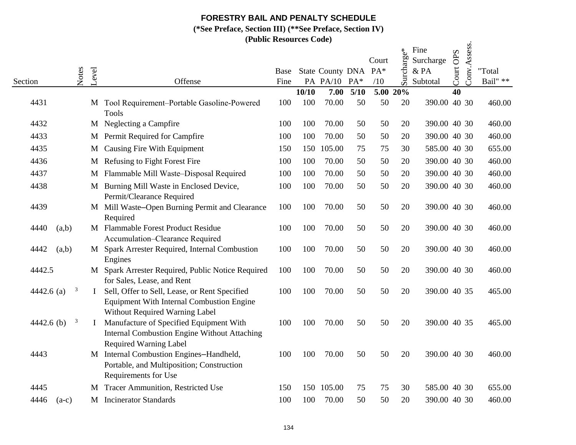# **FORESTRY BAIL AND PENALTY SCHEDULE**

**(\*See Preface, Section III) (\*\*See Preface, Section IV)**

**(Public Resources Code)**

|                 |       |              | (PUDIIC RESOUTCES COUE)                                                                                                             |              |       |                                         |        |              |                                  |                                       |           |              |                    |
|-----------------|-------|--------------|-------------------------------------------------------------------------------------------------------------------------------------|--------------|-------|-----------------------------------------|--------|--------------|----------------------------------|---------------------------------------|-----------|--------------|--------------------|
| Section         | Notes | Level        | Offense                                                                                                                             | Base<br>Fine |       | State County DNA PA*<br><b>PA PA/10</b> | $PA*$  | Court<br>/10 | charge*<br>$\overline{\text{S}}$ | Fine<br>Surcharge<br>& PA<br>Subtotal | Court OPS | Conv.Assess. | "Total<br>Bail" ** |
|                 |       |              |                                                                                                                                     |              | 10/10 | 7.00                                    | $5/10$ |              | 5.00 20%                         |                                       | 40        |              |                    |
| 4431            |       |              | M Tool Requirement-Portable Gasoline-Powered<br><b>Tools</b>                                                                        | 100          | 100   | 70.00                                   | 50     | 50           | 20                               | 390.00 40 30                          |           |              | 460.00             |
| 4432            |       |              | M Neglecting a Campfire                                                                                                             | 100          | 100   | 70.00                                   | 50     | 50           | 20                               | 390.00 40 30                          |           |              | 460.00             |
| 4433            |       |              | M Permit Required for Campfire                                                                                                      | 100          | 100   | 70.00                                   | 50     | 50           | 20                               | 390.00 40 30                          |           |              | 460.00             |
| 4435            |       | M            | Causing Fire With Equipment                                                                                                         | 150          | 150   | 105.00                                  | 75     | 75           | 30                               | 585.00 40 30                          |           |              | 655.00             |
| 4436            |       | M            | Refusing to Fight Forest Fire                                                                                                       | 100          | 100   | 70.00                                   | 50     | 50           | 20                               | 390.00 40 30                          |           |              | 460.00             |
| 4437            |       | M            | Flammable Mill Waste-Disposal Required                                                                                              | 100          | 100   | 70.00                                   | 50     | 50           | 20                               | 390.00 40 30                          |           |              | 460.00             |
| 4438            |       | M            | Burning Mill Waste in Enclosed Device,<br>Permit/Clearance Required                                                                 | 100          | 100   | 70.00                                   | 50     | 50           | 20                               | 390.00 40 30                          |           |              | 460.00             |
| 4439            |       |              | M Mill Waste-Open Burning Permit and Clearance<br>Required                                                                          | 100          | 100   | 70.00                                   | 50     | 50           | 20                               | 390.00 40 30                          |           |              | 460.00             |
| 4440<br>(a,b)   |       |              | M Flammable Forest Product Residue<br>Accumulation-Clearance Required                                                               | 100          | 100   | 70.00                                   | 50     | 50           | 20                               | 390.00 40 30                          |           |              | 460.00             |
| 4442<br>(a,b)   |       |              | M Spark Arrester Required, Internal Combustion<br>Engines                                                                           | 100          | 100   | 70.00                                   | 50     | 50           | 20                               | 390.00 40 30                          |           |              | 460.00             |
| 4442.5          |       |              | M Spark Arrester Required, Public Notice Required<br>for Sales, Lease, and Rent                                                     | 100          | 100   | 70.00                                   | 50     | 50           | 20                               | 390.00 40 30                          |           |              | 460.00             |
| 4442.6 $(a)$    | 3     | $\mathbf{I}$ | Sell, Offer to Sell, Lease, or Rent Specified<br><b>Equipment With Internal Combustion Engine</b><br>Without Required Warning Label | 100          | 100   | 70.00                                   | 50     | 50           | 20                               | 390.00 40 35                          |           |              | 465.00             |
| 4442.6 $(b)$    | 3     |              | Manufacture of Specified Equipment With<br><b>Internal Combustion Engine Without Attaching</b><br><b>Required Warning Label</b>     | 100          | 100   | 70.00                                   | 50     | 50           | 20                               | 390.00 40 35                          |           |              | 465.00             |
| 4443            |       |              | M Internal Combustion Engines-Handheld,<br>Portable, and Multiposition; Construction<br>Requirements for Use                        | 100          | 100   | 70.00                                   | 50     | 50           | 20                               | 390.00 40 30                          |           |              | 460.00             |
| 4445            |       | M            | Tracer Ammunition, Restricted Use                                                                                                   | 150          | 150   | 105.00                                  | 75     | 75           | 30                               | 585.00 40 30                          |           |              | 655.00             |
| 4446<br>$(a-c)$ |       | M            | <b>Incinerator Standards</b>                                                                                                        | 100          | 100   | 70.00                                   | 50     | 50           | 20                               | 390.00 40 30                          |           |              | 460.00             |